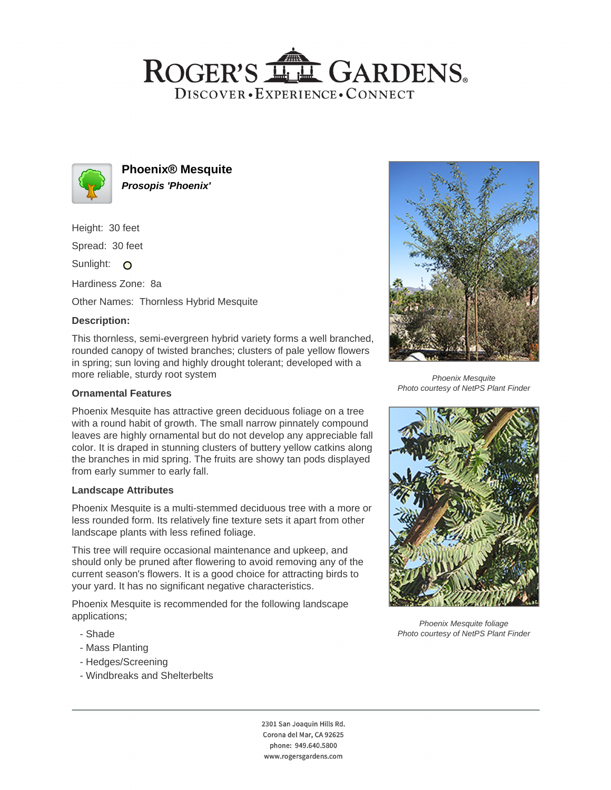# ROGER'S LL GARDENS. DISCOVER · EXPERIENCE · CONNECT



**Phoenix® Mesquite Prosopis 'Phoenix'**

Height: 30 feet

Spread: 30 feet

Sunlight: O

Hardiness Zone: 8a

Other Names: Thornless Hybrid Mesquite

## **Description:**

This thornless, semi-evergreen hybrid variety forms a well branched, rounded canopy of twisted branches; clusters of pale yellow flowers in spring; sun loving and highly drought tolerant; developed with a more reliable, sturdy root system

## **Ornamental Features**

Phoenix Mesquite has attractive green deciduous foliage on a tree with a round habit of growth. The small narrow pinnately compound leaves are highly ornamental but do not develop any appreciable fall color. It is draped in stunning clusters of buttery yellow catkins along the branches in mid spring. The fruits are showy tan pods displayed from early summer to early fall.

#### **Landscape Attributes**

Phoenix Mesquite is a multi-stemmed deciduous tree with a more or less rounded form. Its relatively fine texture sets it apart from other landscape plants with less refined foliage.

This tree will require occasional maintenance and upkeep, and should only be pruned after flowering to avoid removing any of the current season's flowers. It is a good choice for attracting birds to your yard. It has no significant negative characteristics.

Phoenix Mesquite is recommended for the following landscape applications;

- Shade
- Mass Planting
- Hedges/Screening
- Windbreaks and Shelterbelts



Phoenix Mesquite Photo courtesy of NetPS Plant Finder



Phoenix Mesquite foliage Photo courtesy of NetPS Plant Finder

2301 San Joaquin Hills Rd. Corona del Mar, CA 92625 phone: 949.640.5800 www.rogersgardens.com